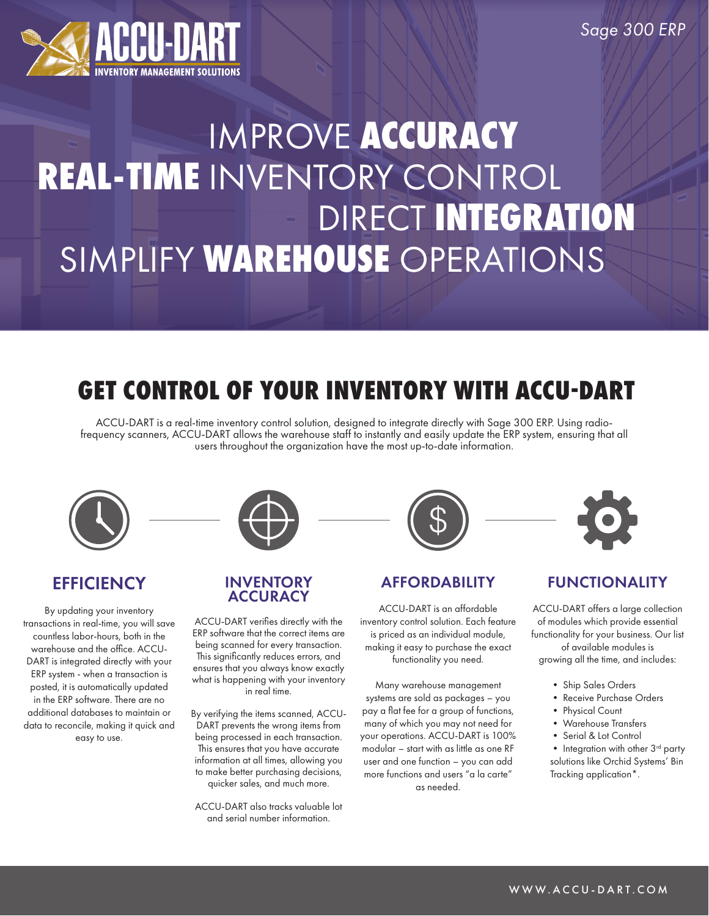

# IMPROVE **ACCURACY REAL-TIME** INVENTORY CONTROL DIRECT **INTEGRATION** SIMPLIFY **WAREHOUSE** OPERATIONS

# **GET CONTROL OF YOUR INVENTORY WITH ACCU-DART**

ACCU-DART is a real-time inventory control solution, designed to integrate directly with Sage 300 ERP. Using radiofrequency scanners, ACCU-DART allows the warehouse staff to instantly and easily update the ERP system, ensuring that all users throughout the organization have the most up-to-date information.



### **EFFICIENCY**

By updating your inventory transactions in real-time, you will save countless labor-hours, both in the warehouse and the office. ACCU-DART is integrated directly with your ERP system - when a transaction is posted, it is automatically updated in the ERP software. There are no additional databases to maintain or data to reconcile, making it quick and easy to use.

#### INVENTORY **ACCURACY**

ACCU-DART verifies directly with the ERP software that the correct items are being scanned for every transaction. This significantly reduces errors, and ensures that you always know exactly what is happening with your inventory in real time.

By verifying the items scanned, ACCU-DART prevents the wrong items from being processed in each transaction. This ensures that you have accurate information at all times, allowing you to make better purchasing decisions, quicker sales, and much more.

ACCU-DART also tracks valuable lot and serial number information.



#### AFFORDABILITY

ACCU-DART is an affordable inventory control solution. Each feature is priced as an individual module, making it easy to purchase the exact functionality you need.

Many warehouse management systems are sold as packages – you pay a flat fee for a group of functions, many of which you may not need for your operations. ACCU-DART is 100% modular – start with as little as one RF user and one function – you can add more functions and users "a la carte" as needed.



#### FUNCTIONALITY

ACCU-DART offers a large collection of modules which provide essential functionality for your business. Our list of available modules is growing all the time, and includes:

- Ship Sales Orders
- Receive Purchase Orders
- Physical Count
- Warehouse Transfers
- Serial & Lot Control

 $\bullet$  Integration with other  $3<sup>rd</sup>$  party solutions like Orchid Systems' Bin Tracking application\*.